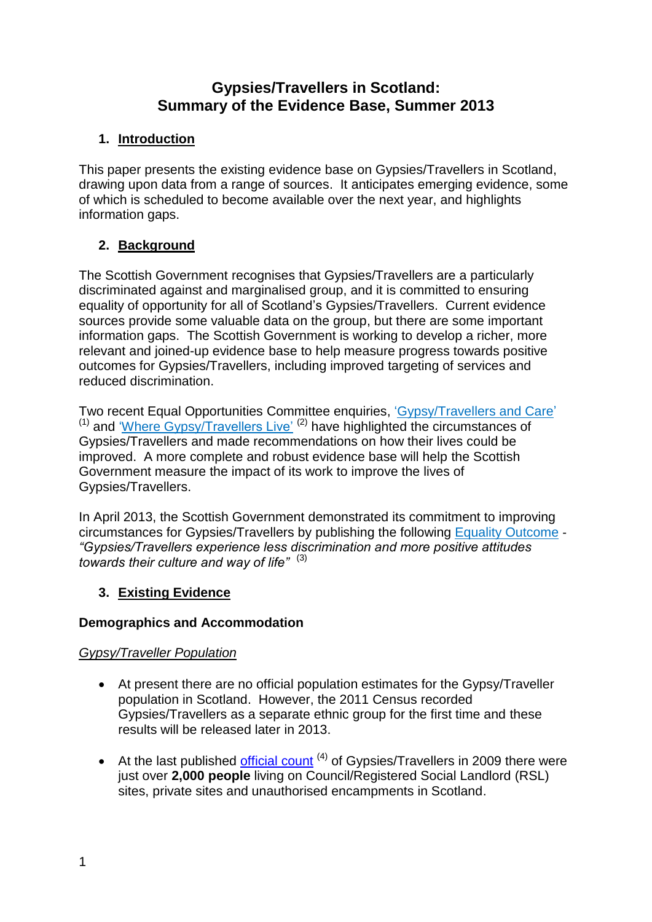# **Gypsies/Travellers in Scotland: Summary of the Evidence Base, Summer 2013**

# **1. Introduction**

This paper presents the existing evidence base on Gypsies/Travellers in Scotland, drawing upon data from a range of sources. It anticipates emerging evidence, some of which is scheduled to become available over the next year, and highlights information gaps.

# **2. Background**

The Scottish Government recognises that Gypsies/Travellers are a particularly discriminated against and marginalised group, and it is committed to ensuring equality of opportunity for all of Scotland's Gypsies/Travellers. Current evidence sources provide some valuable data on the group, but there are some important information gaps. The Scottish Government is working to develop a richer, more relevant and joined-up evidence base to help measure progress towards positive outcomes for Gypsies/Travellers, including improved targeting of services and reduced discrimination.

Two recent Equal Opportunities Committee enquiries, ['Gypsy/Travellers and Care'](http://www.scottish.parliament.uk/S4_EqualOpportunitiesCommittee/Reports/eor-12-03w-rev2.pdf)  $(1)$  and ['Where Gypsy/Travellers Live'](http://www.scottish.parliament.uk/parliamentarybusiness/CurrentCommittees/49027.aspx)  $(2)$  have highlighted the circumstances of Gypsies/Travellers and made recommendations on how their lives could be improved. A more complete and robust evidence base will help the Scottish Government measure the impact of its work to improve the lives of Gypsies/Travellers.

In April 2013, the Scottish Government demonstrated its commitment to improving circumstances for Gypsies/Travellers by publishing the following [Equality Outcome](http://www.scotland.gov.uk/Resource/0041/00417010.pdf) - *"Gypsies/Travellers experience less discrimination and more positive attitudes towards their culture and way of life"* (3)

# **3. Existing Evidence**

# **Demographics and Accommodation**

## *Gypsy/Traveller Population*

- At present there are no official population estimates for the Gypsy/Traveller population in Scotland. However, the 2011 Census recorded Gypsies/Travellers as a separate ethnic group for the first time and these results will be released later in 2013.
- At the last published [official count](http://www.scotland.gov.uk/Publications/2010/08/18105029/0)  $(4)$  of Gypsies/Travellers in 2009 there were just over **2,000 people** living on Council/Registered Social Landlord (RSL) sites, private sites and unauthorised encampments in Scotland.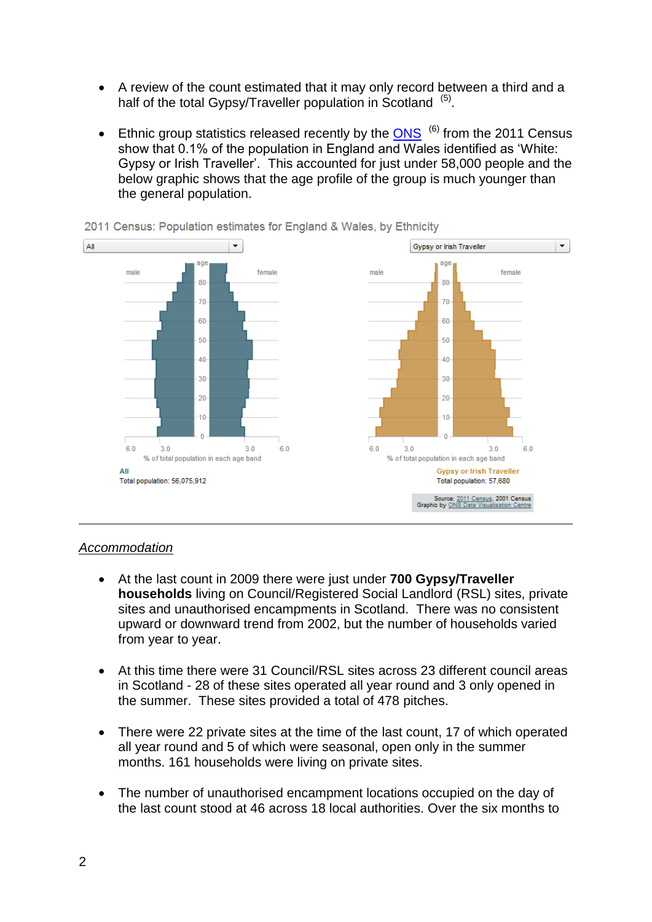- A review of the count estimated that it may only record between a third and a half of the total Gypsy/Traveller population in Scotland<sup>(5)</sup>.
- Ethnic group statistics released recently by the  $\overline{ONS}$ <sup>(6)</sup> from the 2011 Census show that 0.1% of the population in England and Wales identified as 'White: Gypsy or Irish Traveller'. This accounted for just under 58,000 people and the below graphic shows that the age profile of the group is much younger than the general population.



2011 Census: Population estimates for England & Wales, by Ethnicity

## *Accommodation*

- At the last count in 2009 there were just under **700 Gypsy/Traveller households** living on Council/Registered Social Landlord (RSL) sites, private sites and unauthorised encampments in Scotland. There was no consistent upward or downward trend from 2002, but the number of households varied from year to year.
- At this time there were 31 Council/RSL sites across 23 different council areas in Scotland - 28 of these sites operated all year round and 3 only opened in the summer. These sites provided a total of 478 pitches.
- There were 22 private sites at the time of the last count, 17 of which operated all year round and 5 of which were seasonal, open only in the summer months. 161 households were living on private sites.
- The number of unauthorised encampment locations occupied on the day of the last count stood at 46 across 18 local authorities. Over the six months to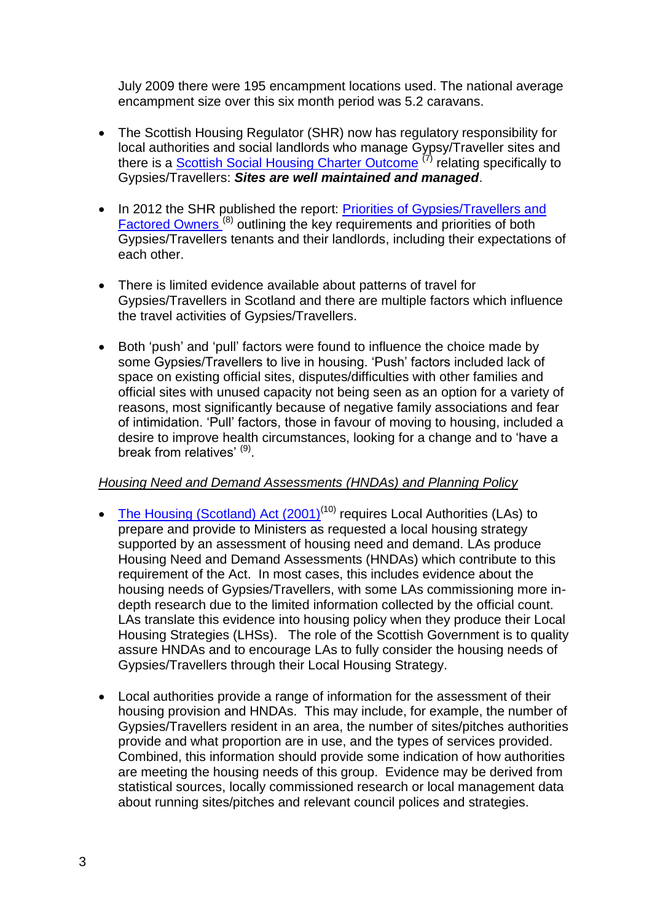July 2009 there were 195 encampment locations used. The national average encampment size over this six month period was 5.2 caravans.

- The Scottish Housing Regulator (SHR) now has regulatory responsibility for local authorities and social landlords who manage Gypsy/Traveller sites and there is a [Scottish Social Housing Charter](http://www.scottishhousingregulator.gov.uk/publications/consultation-charter-indicators-indicator-16-gypsies-travellers) Outcome<sup>(7)</sup> relating specifically to Gypsies/Travellers: *Sites are well maintained and managed*.
- In 2012 the SHR published the report: Priorities of Gypsies/Travellers and [Factored Owners](http://www.scottishhousingregulator.gov.uk/publications/priorities-gypsiestravellers-and-factored-owners)<sup>(8)</sup> outlining the key requirements and priorities of both Gypsies/Travellers tenants and their landlords, including their expectations of each other.
- There is limited evidence available about patterns of travel for Gypsies/Travellers in Scotland and there are multiple factors which influence the travel activities of Gypsies/Travellers.
- Both 'push' and 'pull' factors were found to influence the choice made by some Gypsies/Travellers to live in housing. 'Push' factors included lack of space on existing official sites, disputes/difficulties with other families and official sites with unused capacity not being seen as an option for a variety of reasons, most significantly because of negative family associations and fear of intimidation. 'Pull' factors, those in favour of moving to housing, included a desire to improve health circumstances, looking for a change and to 'have a break from relatives' (9).

#### *Housing Need and Demand Assessments (HNDAs) and Planning Policy*

- [The Housing \(Scotland\) Act \(2001\)](http://www.legislation.gov.uk/asp/2001/10/contents)<sup>(10)</sup> requires Local Authorities (LAs) to prepare and provide to Ministers as requested a local housing strategy supported by an assessment of housing need and demand. LAs produce Housing Need and Demand Assessments (HNDAs) which contribute to this requirement of the Act. In most cases, this includes evidence about the housing needs of Gypsies/Travellers, with some LAs commissioning more indepth research due to the limited information collected by the official count. LAs translate this evidence into housing policy when they produce their Local Housing Strategies (LHSs). The role of the Scottish Government is to quality assure HNDAs and to encourage LAs to fully consider the housing needs of Gypsies/Travellers through their Local Housing Strategy.
- Local authorities provide a range of information for the assessment of their housing provision and HNDAs. This may include, for example, the number of Gypsies/Travellers resident in an area, the number of sites/pitches authorities provide and what proportion are in use, and the types of services provided. Combined, this information should provide some indication of how authorities are meeting the housing needs of this group. Evidence may be derived from statistical sources, locally commissioned research or local management data about running sites/pitches and relevant council polices and strategies.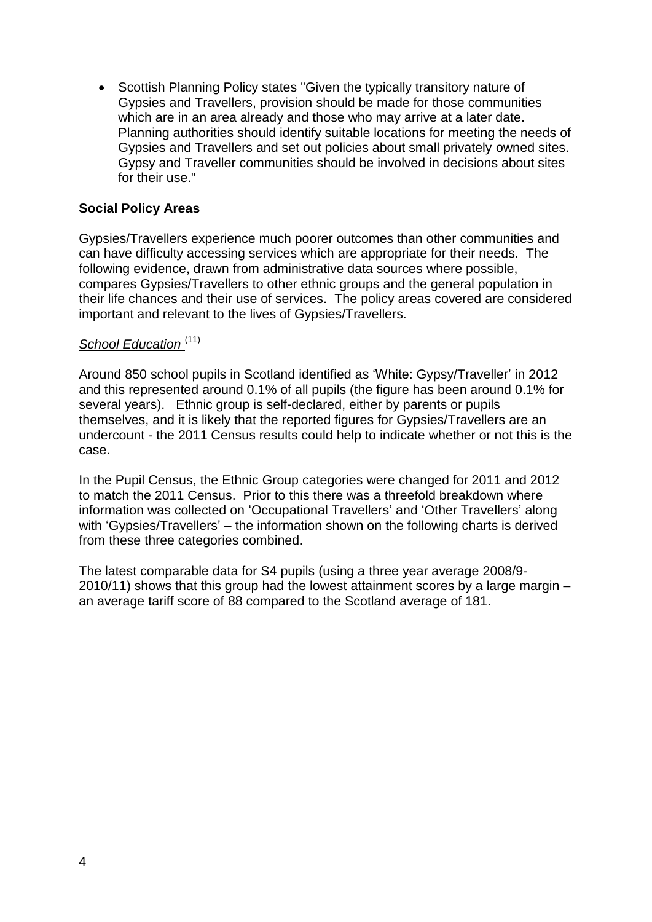• Scottish Planning Policy states "Given the typically transitory nature of Gypsies and Travellers, provision should be made for those communities which are in an area already and those who may arrive at a later date. Planning authorities should identify suitable locations for meeting the needs of Gypsies and Travellers and set out policies about small privately owned sites. Gypsy and Traveller communities should be involved in decisions about sites for their use."

### **Social Policy Areas**

Gypsies/Travellers experience much poorer outcomes than other communities and can have difficulty accessing services which are appropriate for their needs. The following evidence, drawn from administrative data sources where possible, compares Gypsies/Travellers to other ethnic groups and the general population in their life chances and their use of services. The policy areas covered are considered important and relevant to the lives of Gypsies/Travellers.

### *School Education* (11)

Around 850 school pupils in Scotland identified as 'White: Gypsy/Traveller' in 2012 and this represented around 0.1% of all pupils (the figure has been around 0.1% for several years). Ethnic group is self-declared, either by parents or pupils themselves, and it is likely that the reported figures for Gypsies/Travellers are an undercount - the 2011 Census results could help to indicate whether or not this is the case.

In the Pupil Census, the Ethnic Group categories were changed for 2011 and 2012 to match the 2011 Census. Prior to this there was a threefold breakdown where information was collected on 'Occupational Travellers' and 'Other Travellers' along with 'Gypsies/Travellers' – the information shown on the following charts is derived from these three categories combined.

The latest comparable data for S4 pupils (using a three year average 2008/9- 2010/11) shows that this group had the lowest attainment scores by a large margin – an average tariff score of 88 compared to the Scotland average of 181.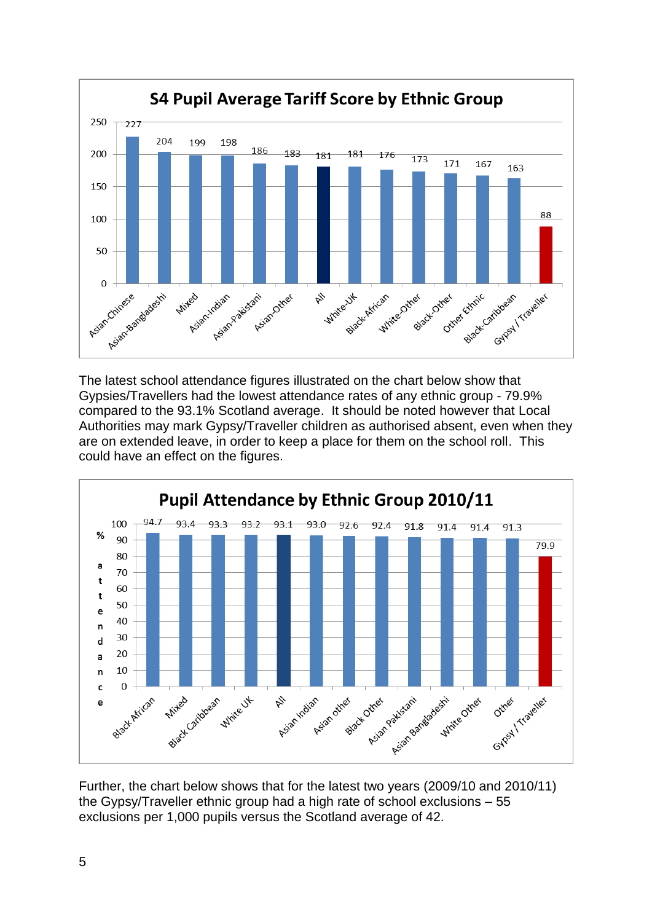

The latest school attendance figures illustrated on the chart below show that Gypsies/Travellers had the lowest attendance rates of any ethnic group - 79.9% compared to the 93.1% Scotland average. It should be noted however that Local Authorities may mark Gypsy/Traveller children as authorised absent, even when they are on extended leave, in order to keep a place for them on the school roll. This could have an effect on the figures.



Further, the chart below shows that for the latest two years (2009/10 and 2010/11) the Gypsy/Traveller ethnic group had a high rate of school exclusions – 55 exclusions per 1,000 pupils versus the Scotland average of 42.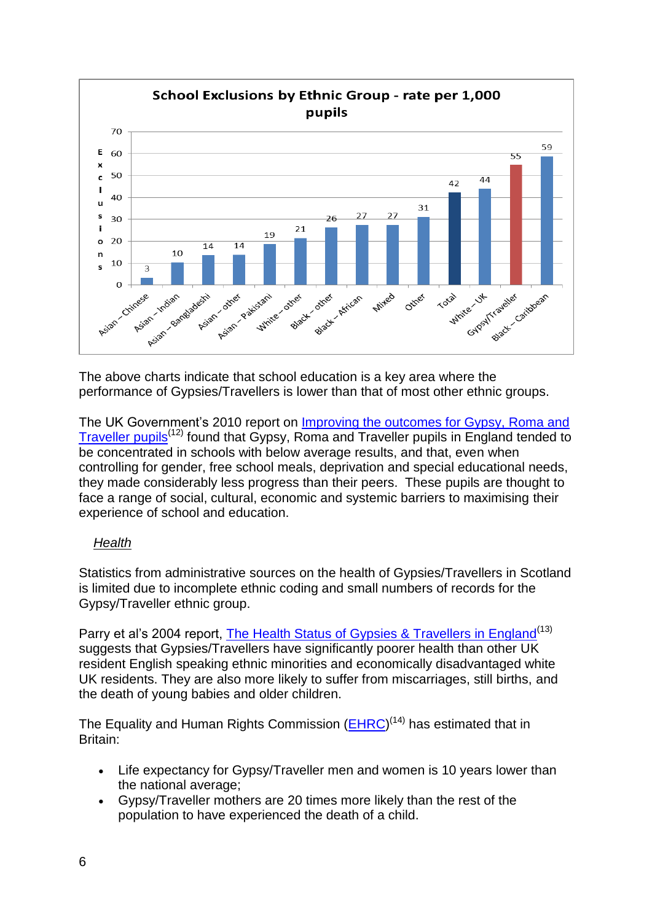

The above charts indicate that school education is a key area where the performance of Gypsies/Travellers is lower than that of most other ethnic groups.

The UK Government's 2010 report on [Improving the outcomes for Gypsy, Roma and](https://www.gov.uk/government/uploads/system/uploads/attachment_data/file/181669/DFE-RR043.pdf)  [Traveller pupils](https://www.gov.uk/government/uploads/system/uploads/attachment_data/file/181669/DFE-RR043.pdf)<sup>(12)</sup> found that Gypsy, Roma and Traveller pupils in England tended to be concentrated in schools with below average results, and that, even when controlling for gender, free school meals, deprivation and special educational needs, they made considerably less progress than their peers. These pupils are thought to face a range of social, cultural, economic and systemic barriers to maximising their experience of school and education.

# *Health*

Statistics from administrative sources on the health of Gypsies/Travellers in Scotland is limited due to incomplete ethnic coding and small numbers of records for the Gypsy/Traveller ethnic group.

Parry et al's 2004 report. [The Health Status of Gypsies & Travellers in England](http://www.sheffield.ac.uk/polopoly_fs/1.43714!/file/GT-final-report-for-web.pdf)<sup>(13)</sup> suggests that Gypsies/Travellers have significantly poorer health than other UK resident English speaking ethnic minorities and economically disadvantaged white UK residents. They are also more likely to suffer from miscarriages, still births, and the death of young babies and older children.

The Equality and Human Rights Commission (**EHRC**)<sup>(14)</sup> has estimated that in Britain:

- Life expectancy for Gypsy/Traveller men and women is 10 years lower than the national average;
- Gypsy/Traveller mothers are 20 times more likely than the rest of the population to have experienced the death of a child.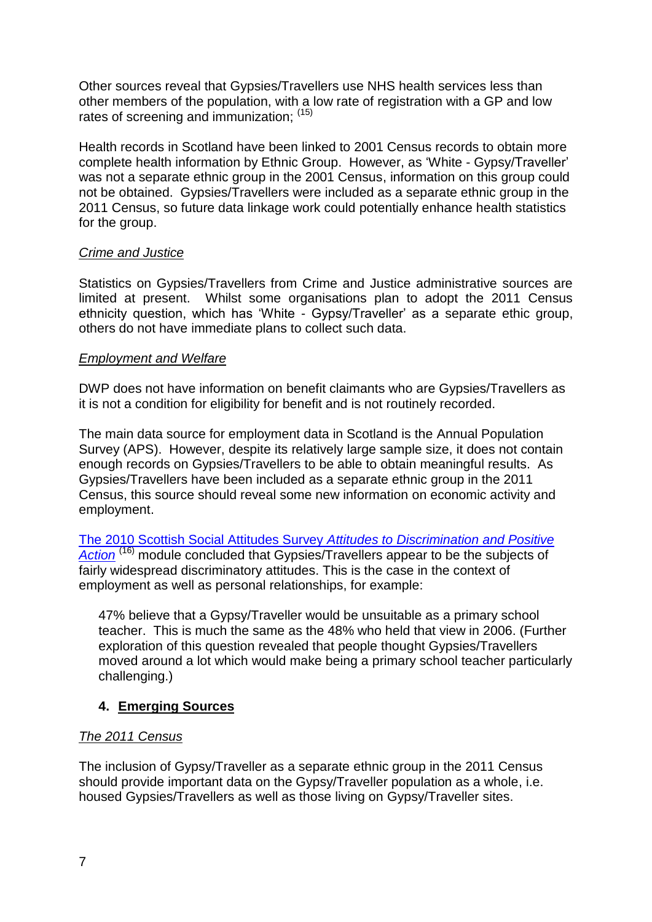Other sources reveal that Gypsies/Travellers use NHS health services less than other members of the population, with a low rate of registration with a GP and low rates of screening and immunization;  $(15)$ 

Health records in Scotland have been linked to 2001 Census records to obtain more complete health information by Ethnic Group. However, as 'White - Gypsy/Traveller' was not a separate ethnic group in the 2001 Census, information on this group could not be obtained. Gypsies/Travellers were included as a separate ethnic group in the 2011 Census, so future data linkage work could potentially enhance health statistics for the group.

### *Crime and Justice*

Statistics on Gypsies/Travellers from Crime and Justice administrative sources are limited at present. Whilst some organisations plan to adopt the 2011 Census ethnicity question, which has 'White - Gypsy/Traveller' as a separate ethic group, others do not have immediate plans to collect such data.

#### *Employment and Welfare*

DWP does not have information on benefit claimants who are Gypsies/Travellers as it is not a condition for eligibility for benefit and is not routinely recorded.

The main data source for employment data in Scotland is the Annual Population Survey (APS). However, despite its relatively large sample size, it does not contain enough records on Gypsies/Travellers to be able to obtain meaningful results. As Gypsies/Travellers have been included as a separate ethnic group in the 2011 Census, this source should reveal some new information on economic activity and employment.

[The 2010 Scottish Social Attitudes Survey](http://www.scotland.gov.uk/Publications/2011/08/11112523/0) *Attitudes to Discrimination and Positive [Action](http://www.scotland.gov.uk/Publications/2011/08/11112523/0)* (16) module concluded that Gypsies/Travellers appear to be the subjects of fairly widespread discriminatory attitudes. This is the case in the context of employment as well as personal relationships, for example:

47% believe that a Gypsy/Traveller would be unsuitable as a primary school teacher. This is much the same as the 48% who held that view in 2006. (Further exploration of this question revealed that people thought Gypsies/Travellers moved around a lot which would make being a primary school teacher particularly challenging.)

## **4. Emerging Sources**

#### *The 2011 Census*

The inclusion of Gypsy/Traveller as a separate ethnic group in the 2011 Census should provide important data on the Gypsy/Traveller population as a whole, i.e. housed Gypsies/Travellers as well as those living on Gypsy/Traveller sites.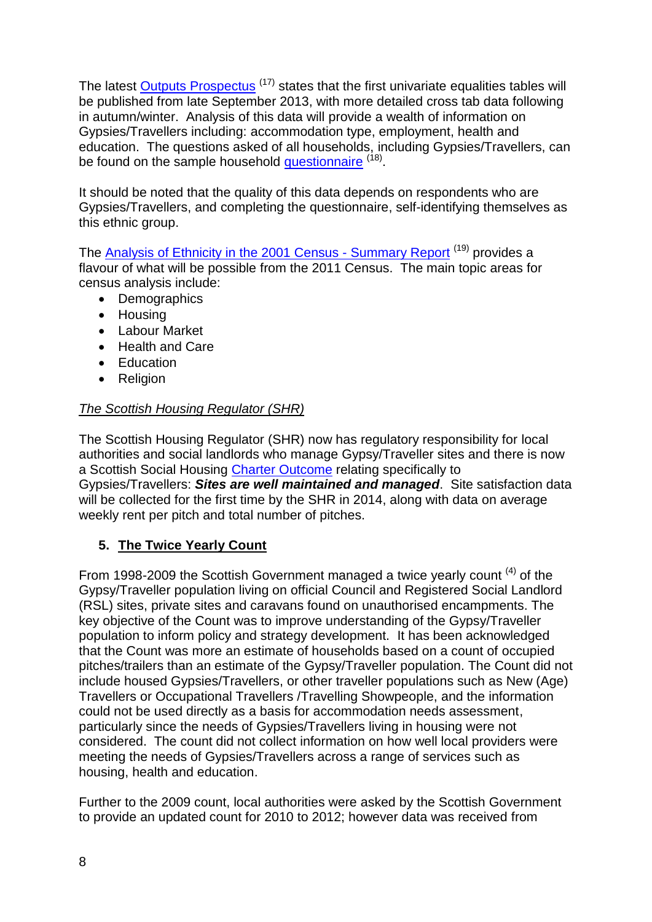The latest [Outputs Prospectus](http://www.scotlandscensus.gov.uk/en/news/articles/outputsprospectus.html)<sup>(17)</sup> states that the first univariate equalities tables will be published from late September 2013, with more detailed cross tab data following in autumn/winter. Analysis of this data will provide a wealth of information on Gypsies/Travellers including: accommodation type, employment, health and education. The questions asked of all households, including Gypsies/Travellers, can be found on the sample household <u>questionnaire</u> (18).

It should be noted that the quality of this data depends on respondents who are Gypsies/Travellers, and completing the questionnaire, self-identifying themselves as this ethnic group.

The [Analysis of Ethnicity in the 2001 Census -](http://www.scotland.gov.uk/Publications/2004/02/18876/32937) Summary Report <sup>(19)</sup> provides a flavour of what will be possible from the 2011 Census. The main topic areas for census analysis include:

- Demographics
- Housing
- Labour Market
- Health and Care
- Education
- Religion

## *The Scottish Housing Regulator (SHR)*

The Scottish Housing Regulator (SHR) now has regulatory responsibility for local authorities and social landlords who manage Gypsy/Traveller sites and there is now a Scottish Social Housing Charter [Outcome](http://www.scottishhousingregulator.gov.uk/publications/consultation-charter-indicators-indicator-16-gypsies-travellers) relating specifically to Gypsies/Travellers: *Sites are well maintained and managed*. Site satisfaction data will be collected for the first time by the SHR in 2014, along with data on average weekly rent per pitch and total number of pitches.

# **5. The Twice Yearly Count**

From 1998-2009 the Scottish Government managed a twice yearly count <sup>(4)</sup> of the Gypsy/Traveller population living on official Council and Registered Social Landlord (RSL) sites, private sites and caravans found on unauthorised encampments. The key objective of the Count was to improve understanding of the Gypsy/Traveller population to inform policy and strategy development. It has been acknowledged that the Count was more an estimate of households based on a count of occupied pitches/trailers than an estimate of the Gypsy/Traveller population. The Count did not include housed Gypsies/Travellers, or other traveller populations such as New (Age) Travellers or Occupational Travellers /Travelling Showpeople, and the information could not be used directly as a basis for accommodation needs assessment, particularly since the needs of Gypsies/Travellers living in housing were not considered. The count did not collect information on how well local providers were meeting the needs of Gypsies/Travellers across a range of services such as housing, health and education.

Further to the 2009 count, local authorities were asked by the Scottish Government to provide an updated count for 2010 to 2012; however data was received from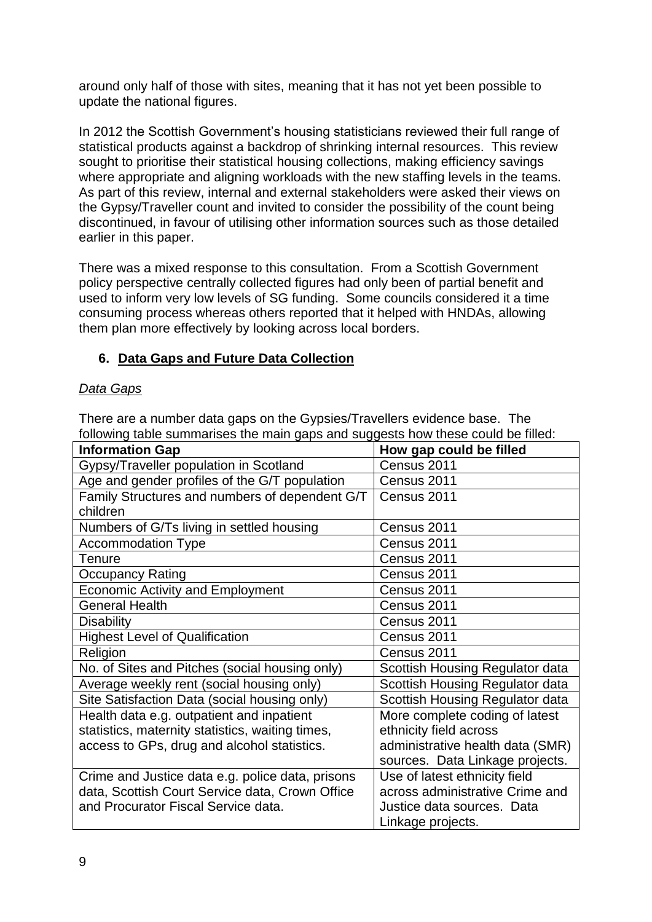around only half of those with sites, meaning that it has not yet been possible to update the national figures.

In 2012 the Scottish Government's housing statisticians reviewed their full range of statistical products against a backdrop of shrinking internal resources. This review sought to prioritise their statistical housing collections, making efficiency savings where appropriate and aligning workloads with the new staffing levels in the teams. As part of this review, internal and external stakeholders were asked their views on the Gypsy/Traveller count and invited to consider the possibility of the count being discontinued, in favour of utilising other information sources such as those detailed earlier in this paper.

There was a mixed response to this consultation. From a Scottish Government policy perspective centrally collected figures had only been of partial benefit and used to inform very low levels of SG funding. Some councils considered it a time consuming process whereas others reported that it helped with HNDAs, allowing them plan more effectively by looking across local borders.

## **6. Data Gaps and Future Data Collection**

#### *Data Gaps*

There are a number data gaps on the Gypsies/Travellers evidence base. The following table summarises the main gaps and suggests how these could be filled:

| <b>Information Gap</b>                           | How gap could be filled          |
|--------------------------------------------------|----------------------------------|
| Gypsy/Traveller population in Scotland           | Census 2011                      |
| Age and gender profiles of the G/T population    | Census 2011                      |
| Family Structures and numbers of dependent G/T   | Census 2011                      |
| children                                         |                                  |
| Numbers of G/Ts living in settled housing        | Census 2011                      |
| <b>Accommodation Type</b>                        | Census 2011                      |
| Tenure                                           | Census 2011                      |
| <b>Occupancy Rating</b>                          | Census 2011                      |
| <b>Economic Activity and Employment</b>          | Census 2011                      |
| <b>General Health</b>                            | Census 2011                      |
| <b>Disability</b>                                | Census 2011                      |
| <b>Highest Level of Qualification</b>            | Census 2011                      |
| Religion                                         | Census 2011                      |
| No. of Sites and Pitches (social housing only)   | Scottish Housing Regulator data  |
| Average weekly rent (social housing only)        | Scottish Housing Regulator data  |
| Site Satisfaction Data (social housing only)     | Scottish Housing Regulator data  |
| Health data e.g. outpatient and inpatient        | More complete coding of latest   |
| statistics, maternity statistics, waiting times, | ethnicity field across           |
| access to GPs, drug and alcohol statistics.      | administrative health data (SMR) |
|                                                  | sources. Data Linkage projects.  |
| Crime and Justice data e.g. police data, prisons | Use of latest ethnicity field    |
| data, Scottish Court Service data, Crown Office  | across administrative Crime and  |
| and Procurator Fiscal Service data.              | Justice data sources. Data       |
|                                                  | Linkage projects.                |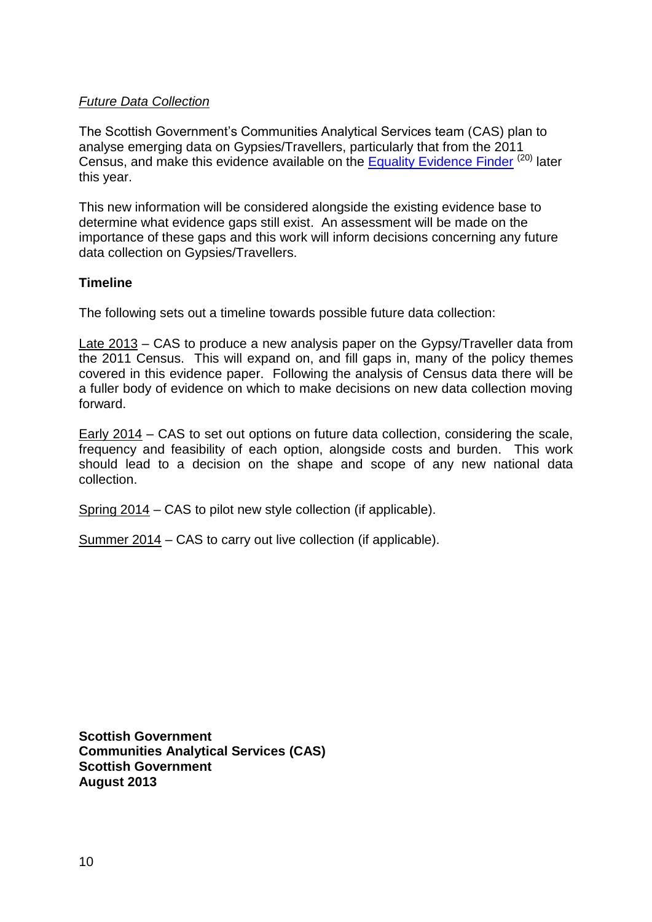### *Future Data Collection*

The Scottish Government's Communities Analytical Services team (CAS) plan to analyse emerging data on Gypsies/Travellers, particularly that from the 2011 Census, and make this evidence available on the [Equality Evidence Finder](http://www.scotland.gov.uk/Topics/People/Equality/Equalities/DataGrid) <sup>(20)</sup> later this year.

This new information will be considered alongside the existing evidence base to determine what evidence gaps still exist. An assessment will be made on the importance of these gaps and this work will inform decisions concerning any future data collection on Gypsies/Travellers.

### **Timeline**

The following sets out a timeline towards possible future data collection:

Late 2013 – CAS to produce a new analysis paper on the Gypsy/Traveller data from the 2011 Census. This will expand on, and fill gaps in, many of the policy themes covered in this evidence paper. Following the analysis of Census data there will be a fuller body of evidence on which to make decisions on new data collection moving forward.

Early 2014 – CAS to set out options on future data collection, considering the scale, frequency and feasibility of each option, alongside costs and burden. This work should lead to a decision on the shape and scope of any new national data collection.

Spring 2014 – CAS to pilot new style collection (if applicable).

Summer 2014 – CAS to carry out live collection (if applicable).

**Scottish Government Communities Analytical Services (CAS) Scottish Government August 2013**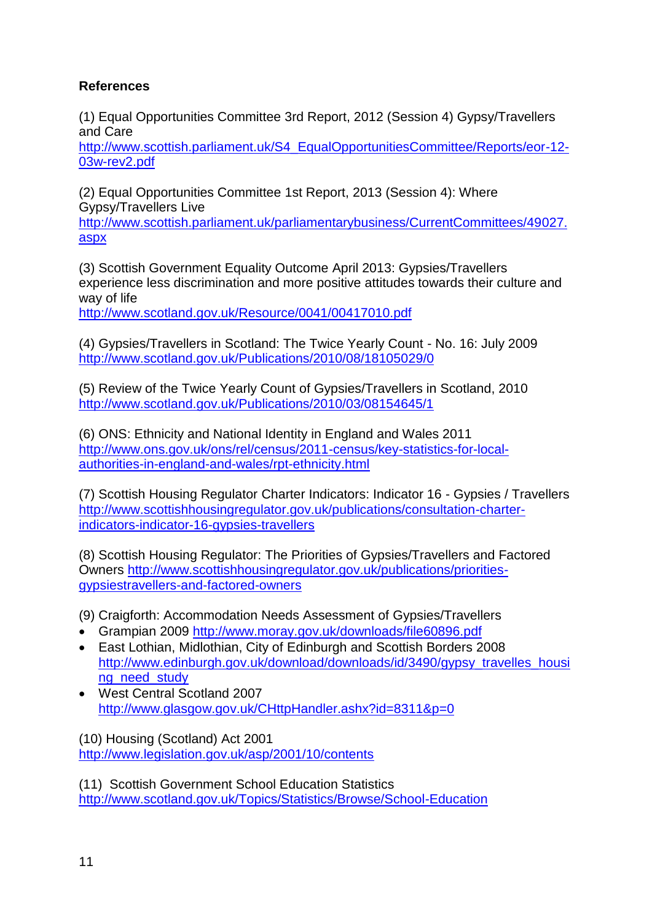## **References**

(1) Equal Opportunities Committee 3rd Report, 2012 (Session 4) Gypsy/Travellers and Care

[http://www.scottish.parliament.uk/S4\\_EqualOpportunitiesCommittee/Reports/eor-12-](http://www.scottish.parliament.uk/S4_EqualOpportunitiesCommittee/Reports/eor-12-03w-rev2.pdf) [03w-rev2.pdf](http://www.scottish.parliament.uk/S4_EqualOpportunitiesCommittee/Reports/eor-12-03w-rev2.pdf)

(2) Equal Opportunities Committee 1st Report, 2013 (Session 4): Where Gypsy/Travellers Live [http://www.scottish.parliament.uk/parliamentarybusiness/CurrentCommittees/49027.](http://www.scottish.parliament.uk/parliamentarybusiness/CurrentCommittees/49027.aspx) [aspx](http://www.scottish.parliament.uk/parliamentarybusiness/CurrentCommittees/49027.aspx)

(3) Scottish Government Equality Outcome April 2013: Gypsies/Travellers experience less discrimination and more positive attitudes towards their culture and way of life

<http://www.scotland.gov.uk/Resource/0041/00417010.pdf>

(4) Gypsies/Travellers in Scotland: The Twice Yearly Count - No. 16: July 2009 <http://www.scotland.gov.uk/Publications/2010/08/18105029/0>

(5) Review of the Twice Yearly Count of Gypsies/Travellers in Scotland, 2010 <http://www.scotland.gov.uk/Publications/2010/03/08154645/1>

(6) ONS: Ethnicity and National Identity in England and Wales 2011 [http://www.ons.gov.uk/ons/rel/census/2011-census/key-statistics-for-local](http://www.ons.gov.uk/ons/rel/census/2011-census/key-statistics-for-local-authorities-in-england-and-wales/rpt-ethnicity.html)[authorities-in-england-and-wales/rpt-ethnicity.html](http://www.ons.gov.uk/ons/rel/census/2011-census/key-statistics-for-local-authorities-in-england-and-wales/rpt-ethnicity.html)

(7) Scottish Housing Regulator Charter Indicators: Indicator 16 - Gypsies / Travellers [http://www.scottishhousingregulator.gov.uk/publications/consultation-charter](http://www.scottishhousingregulator.gov.uk/publications/consultation-charter-indicators-indicator-16-gypsies-travellers)[indicators-indicator-16-gypsies-travellers](http://www.scottishhousingregulator.gov.uk/publications/consultation-charter-indicators-indicator-16-gypsies-travellers)

(8) Scottish Housing Regulator: The Priorities of Gypsies/Travellers and Factored Owners [http://www.scottishhousingregulator.gov.uk/publications/priorities](http://www.scottishhousingregulator.gov.uk/publications/priorities-gypsiestravellers-and-factored-owners)[gypsiestravellers-and-factored-owners](http://www.scottishhousingregulator.gov.uk/publications/priorities-gypsiestravellers-and-factored-owners)

(9) Craigforth: Accommodation Needs Assessment of Gypsies/Travellers

- Grampian 2009<http://www.moray.gov.uk/downloads/file60896.pdf>
- East Lothian, Midlothian, City of Edinburgh and Scottish Borders 2008 [http://www.edinburgh.gov.uk/download/downloads/id/3490/gypsy\\_travelles\\_housi](http://www.edinburgh.gov.uk/download/downloads/id/3490/gypsy_travelles_housing_need_study) [ng\\_need\\_study](http://www.edinburgh.gov.uk/download/downloads/id/3490/gypsy_travelles_housing_need_study)
- West Central Scotland 2007 <http://www.glasgow.gov.uk/CHttpHandler.ashx?id=8311&p=0>

(10) Housing (Scotland) Act 2001 <http://www.legislation.gov.uk/asp/2001/10/contents>

(11) Scottish Government School Education Statistics <http://www.scotland.gov.uk/Topics/Statistics/Browse/School-Education>